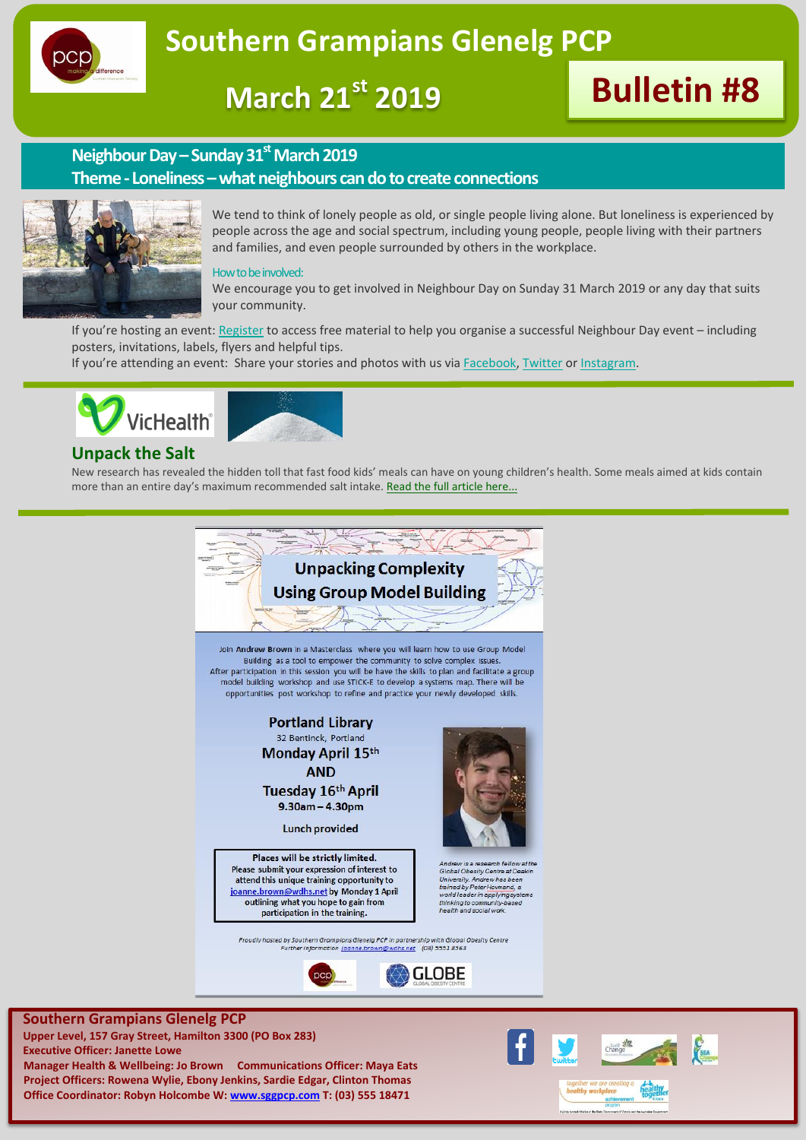

**March 21st 2019 Bulletin #8**

# **Neighbour Day –Sunday 31stMarch 2019**

## **Theme- Loneliness –what neighbours can do to create connections**



We tend to think of lonely people as old, or single people living alone. But loneliness is experienced by people across the age and social spectrum, including young people, people living with their partners and families, and even people surrounded by others in the workplace.

#### How to be involved:

We encourage you to get involved in Neighbour Day on Sunday 31 March 2019 or any day that suits your community.

If you're hosting an event: [Register](http://neighbourday.org/get-involved/event-registration/) to access free material to help you organise a successful Neighbour Day event – including posters, invitations, labels, flyers and helpful tips.

If you're attending an event: Share your stories and photos with us via [Facebook,](https://www.facebook.com/neighbourday) [Twitter](https://twitter.com/NeighbourDay) or [Instagram.](https://instagram.com/neighbourday/)



# **Unpack the Salt**

New research has revealed the hidden toll that fast food kids' meals can have on young children's health. Some meals aimed at kids contain more than an entire day's maximum recommended salt intake. [Read the full article here...](http://http/www.vichealth.vic.gov.au/media-and-resources/media-releases/fast-food-kids-meals-chock-full-of-salt?utm_source=VicHealth%20Update&utm_campaign=VH%20Update%206Mar19%20-%20short%20version&utm_medium=Email)



**Executive Officer: Janette Lowe Manager Health & Wellbeing: Jo Brown Communications Officer: Maya Eats Project Officers: Rowena Wylie, Ebony Jenkins, Sardie Edgar, Clinton Thomas Office Coordinator: Robyn Holcombe W: [www.sggpcp.com](http://www.sggpcp.com/) T: (03) 555 18471**

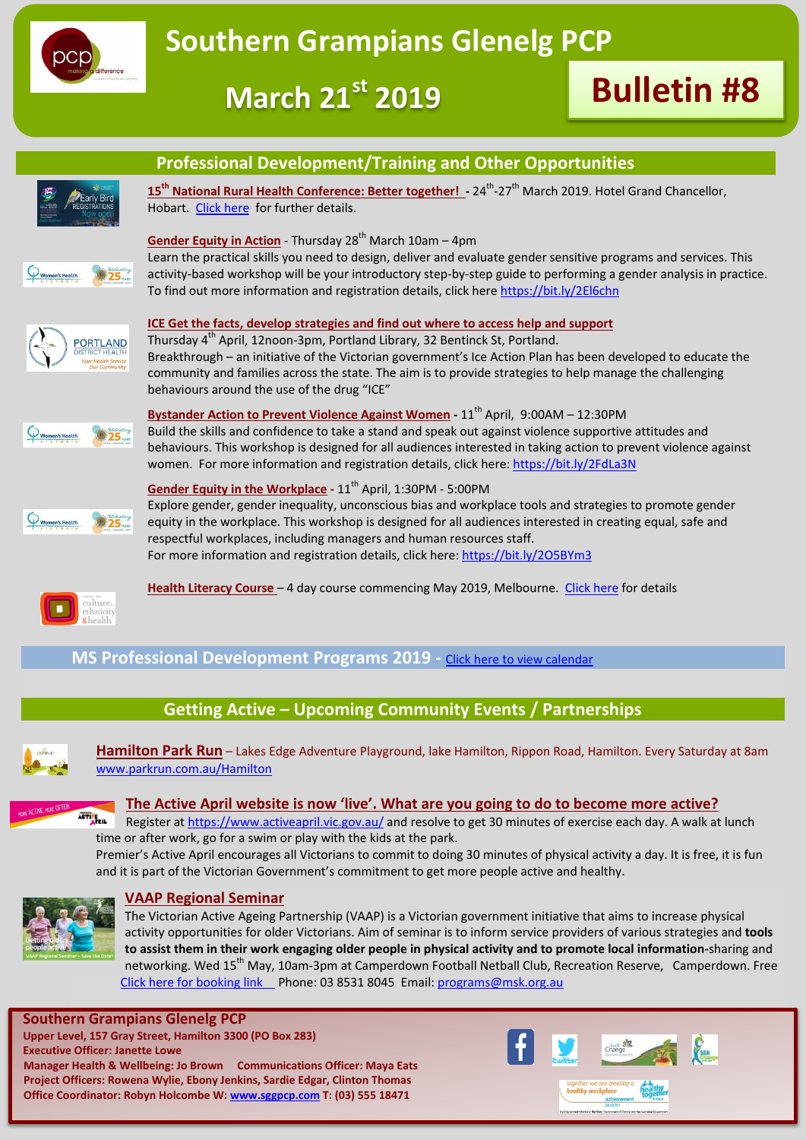





# **Professional Development/Training and Other Opportunities**

15<sup>th</sup> National Rural Health Conference: Better together! - 24<sup>th</sup>-27<sup>th</sup> March 2019. Hotel Grand Chancellor, Hobart. [Click here](http://www.ruralhealth.org.au/15nrhc/) for further details.



**AND** 

## **Gender Equity in Action** - Thursday 28<sup>th</sup> March 10am – 4pm

Learn the practical skills you need to design, deliver and evaluate gender sensitive programs and services. This activity-based workshop will be your introductory step-by-step guide to performing a gender analysis in practice. To find out more information and registration details, click here<https://bit.ly/2El6chn>



Thursday 4<sup>th</sup> April, 12noon-3pm, Portland Library, 32 Bentinck St, Portland. Breakthrough – an initiative of the Victorian government's Ice Action Plan has been developed to educate the community and families across the state. The aim is to provide strategies to help manage the challenging behaviours around the use of the drug "ICE"



**Bystander Action to Prevent Violence Against Women - 11<sup>th</sup> April, 9:00AM - 12:30PM** Build the skills and confidence to take a stand and speak out against violence supportive attitudes and behaviours. This workshop is designed for all audiences interested in taking action to prevent violence against women. For more information and registration details, click here:<https://bit.ly/2FdLa3N>



**Gender Equity in the Workplace** - 11<sup>th</sup> April, 1:30PM - 5:00PM Explore gender, gender inequality, unconscious bias and workplace tools and strategies to promote gender equity in the workplace. This workshop is designed for all audiences interested in creating equal, safe and respectful workplaces, including managers and human resources staff. For more information and registration details, click here[: https://bit.ly/2O5BYm3](https://bit.ly/2O5BYm3)



**Health Literacy Course** – 4 day course commencing May 2019, Melbourne. [Click here](https://www.ceh.org.au/training/browse/2019-health-literacy-course/) for details

**MS Professional Development Programs 2019 -** [Click here to view calendar](https://www.ms.org.au/support-services/education/health-professionals/upcoming-programs.aspx)

# **Getting Active – Upcoming Community Events / Partnerships**



**Hamilton Park Run** – Lakes Edge Adventure Playground, lake Hamilton, Rippon Road, Hamilton. Every Saturday at 8am [www.parkrun.com.au/Hamilton](http://www.parkrun.com.au/Hamilton)



**The Active April website is now 'live'. What are you going to do to become more active?**

Register a[t https://www.activeapril.vic.gov.au/](https://www.activeapril.vic.gov.au/) and resolve to get 30 minutes of exercise each day. A walk at lunch time or after work, go for a swim or play with the kids at the park.

Premier's Active April encourages all Victorians to commit to doing 30 minutes of physical activity a day. It is free, it is fun and it is part of the Victorian Government's commitment to get more people active and healthy.



### **VAAP Regional Seminar**

The Victorian Active Ageing Partnership (VAAP) is a Victorian government initiative that aims to increase physical activity opportunities for older Victorians. Aim of seminar is to inform service providers of various strategies and **tools to assist them in their work engaging older people in physical activity and to promote local information-**sharing and networking. Wed 15<sup>th</sup> May, 10am-3pm at Camperdown Football Netball Club, Recreation Reserve, Camperdown. Free [Click here for booking link P](https://www.trybooking.com/book/event?eid=462829&)hone: 03 8531 8045 Email[: programs@msk.org.au](mailto:programs@msk.org.au)

**Southern Grampians Glenelg PCP Upper Level, 157 Gray Street, Hamilton 3300 (PO Box 283) Executive Officer: Janette Lowe Manager Health & Wellbeing: Jo Brown Communications Officer: Maya Eats Project Officers: Rowena Wylie, Ebony Jenkins, Sardie Edgar, Clinton Thomas Office Coordinator: Robyn Holcombe W: [www.sggpcp.com](http://www.sggpcp.com/) T: (03) 555 18471**